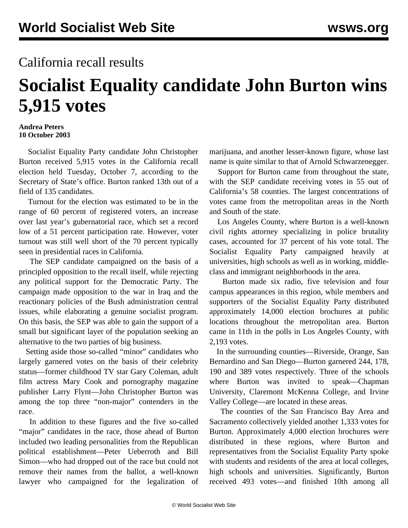## California recall results

## **Socialist Equality candidate John Burton wins 5,915 votes**

## **Andrea Peters 10 October 2003**

 Socialist Equality Party candidate John Christopher Burton received 5,915 votes in the California recall election held Tuesday, October 7, according to the Secretary of State's office. Burton ranked 13th out of a field of 135 candidates.

 Turnout for the election was estimated to be in the range of 60 percent of registered voters, an increase over last year's gubernatorial race, which set a record low of a 51 percent participation rate. However, voter turnout was still well short of the 70 percent typically seen in presidential races in California.

 The SEP candidate campaigned on the basis of a principled opposition to the recall itself, while rejecting any political support for the Democratic Party. The campaign made opposition to the war in Iraq and the reactionary policies of the Bush administration central issues, while elaborating a genuine socialist program. On this basis, the SEP was able to gain the support of a small but significant layer of the population seeking an alternative to the two parties of big business.

 Setting aside those so-called "minor" candidates who largely garnered votes on the basis of their celebrity status—former childhood TV star Gary Coleman, adult film actress Mary Cook and pornography magazine publisher Larry Flynt—John Christopher Burton was among the top three "non-major" contenders in the race.

 In addition to these figures and the five so-called "major" candidates in the race, those ahead of Burton included two leading personalities from the Republican political establishment—Peter Ueberroth and Bill Simon—who had dropped out of the race but could not remove their names from the ballot, a well-known lawyer who campaigned for the legalization of marijuana, and another lesser-known figure, whose last name is quite similar to that of Arnold Schwarzenegger.

 Support for Burton came from throughout the state, with the SEP candidate receiving votes in 55 out of California's 58 counties. The largest concentrations of votes came from the metropolitan areas in the North and South of the state.

 Los Angeles County, where Burton is a well-known civil rights attorney specializing in police brutality cases, accounted for 37 percent of his vote total. The Socialist Equality Party campaigned heavily at universities, high schools as well as in working, middleclass and immigrant neighborhoods in the area.

 Burton made six radio, five television and four campus appearances in this region, while members and supporters of the Socialist Equality Party distributed approximately 14,000 election brochures at public locations throughout the metropolitan area. Burton came in 11th in the polls in Los Angeles County, with 2,193 votes.

 In the surrounding counties—Riverside, Orange, San Bernardino and San Diego—Burton garnered 244, 178, 190 and 389 votes respectively. Three of the schools where Burton was invited to speak—Chapman University, Claremont McKenna College, and Irvine Valley College—are located in these areas.

 The counties of the San Francisco Bay Area and Sacramento collectively yielded another 1,333 votes for Burton. Approximately 4,000 election brochures were distributed in these regions, where Burton and representatives from the Socialist Equality Party spoke with students and residents of the area at local colleges, high schools and universities. Significantly, Burton received 493 votes—and finished 10th among all